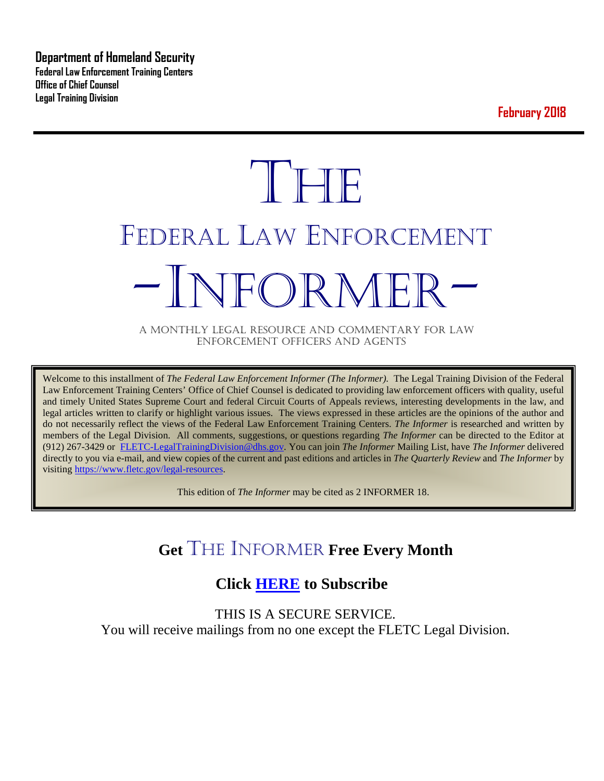**Department of Homeland Security Federal Law Enforcement Training Centers Office of Chief Counsel Legal Training Division** 

**February 2018**

# **THE** FEDERAL LAW ENFORCEMENT -INFORMER- A MONTHLY LEGAL RESOURCE AND COMMENTARY FOR LAW

ENFORCEMENT OFFICERS AND AGENTS

Welcome to this installment of *The Federal Law Enforcement Informer (The Informer).* The Legal Training Division of the Federal Law Enforcement Training Centers' Office of Chief Counsel is dedicated to providing law enforcement officers with quality, useful and timely United States Supreme Court and federal Circuit Courts of Appeals reviews, interesting developments in the law, and legal articles written to clarify or highlight various issues. The views expressed in these articles are the opinions of the author and do not necessarily reflect the views of the Federal Law Enforcement Training Centers. *The Informer* is researched and written by members of the Legal Division. All comments, suggestions, or questions regarding *The Informer* can be directed to the Editor at (912) 267-3429 or [FLETC-LegalTrainingDivision@dhs.gov.](mailto:FLETC-LegalTrainingDivision@dhs.gov) You can join *The Informer* Mailing List, have *The Informer* delivered directly to you via e-mail, and view copies of the current and past editions and articles in *The Quarterly Review* and *The Informer* by visiting [https://www.fletc.gov/legal-resources.](https://www.fletc.gov/legal-resources) 

This edition of *The Informer* may be cited as 2 INFORMER 18.

# **Get** THE INFORMER **Free Every Month**

# **Click [HERE](https://app.co-sender.com/opt-in/list/7b007eab-378b-4542-807f-44d6de94cb7e) to Subscribe**

THIS IS A SECURE SERVICE. You will receive mailings from no one except the FLETC Legal Division.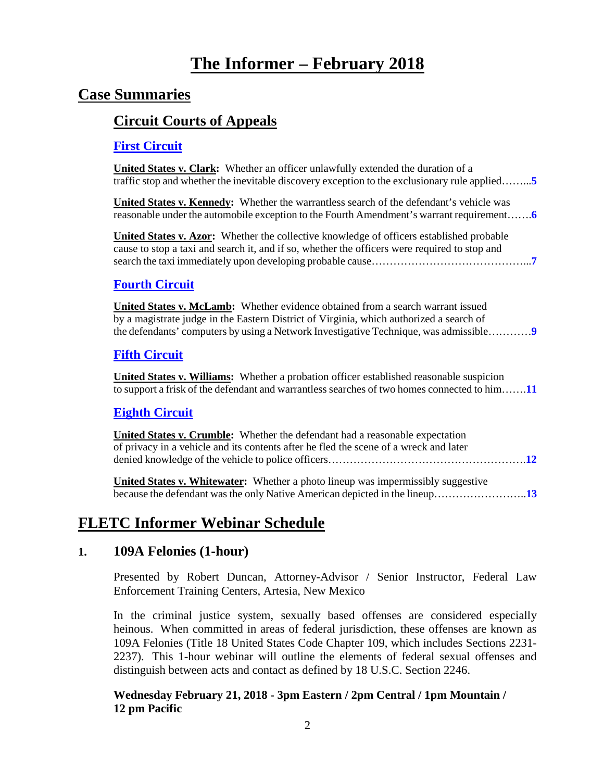# **The Informer – February 2018**

# **Case Summaries**

### **[Circuit Courts of Appeals](#page-4-0)**

#### **[First Circuit](#page-4-1)**

**United States v. Clark:** Whether an officer unlawfully extended the duration of a traffic stop and whether the inevitable discovery exception to the exclusionary rule applied……...**[5](#page-4-2)**

**United States v. Kennedy:** Whether the warrantless search of the defendant's vehicle was reasonable under the automobile exception to the Fourth Amendment's warrant requirement…….**[6](#page-5-0)**

**United States v. Azor:** Whether the collective knowledge of officers established probable cause to stop a taxi and search it, and if so, whether the officers were required to stop and search the taxi immediately upon developing probable cause……………………………………...**[7](#page-6-0)**

#### **[Fourth Circuit](#page-8-0)**

**United States v. McLamb:** Whether evidence obtained from a search warrant issued by a magistrate judge in the Eastern District of Virginia, which authorized a search of the defendants' computers by using a Network Investigative Technique, was admissible…………**[9](#page-8-1)**

#### **[Fifth Circuit](#page-10-0)**

**United States v. Williams:** Whether a probation officer established reasonable suspicion to support a frisk of the defendant and warrantless searches of two homes connected to him…….**[11](#page-10-1)**

#### **[Eighth Circuit](#page-11-0)**

| United States v. Crumble: Whether the defendant had a reasonable expectation          |  |
|---------------------------------------------------------------------------------------|--|
| of privacy in a vehicle and its contents after he fled the scene of a wreck and later |  |
|                                                                                       |  |
|                                                                                       |  |

**United States v. Whitewater:** Whether a photo lineup was impermissibly suggestive because the defendant was the only Native American depicted in the lineup……………………..**[13](#page-12-0)**

# **FLETC Informer Webinar Schedule**

#### **1. 109A Felonies (1-hour)**

Presented by Robert Duncan, Attorney-Advisor / Senior Instructor, Federal Law Enforcement Training Centers, Artesia, New Mexico

In the criminal justice system, sexually based offenses are considered especially heinous. When committed in areas of federal jurisdiction, these offenses are known as 109A Felonies (Title 18 United States Code Chapter 109, which includes Sections 2231- 2237). This 1-hour webinar will outline the elements of federal sexual offenses and distinguish between acts and contact as defined by 18 U.S.C. Section 2246.

#### **Wednesday February 21, 2018 - 3pm Eastern / 2pm Central / 1pm Mountain / 12 pm Pacific**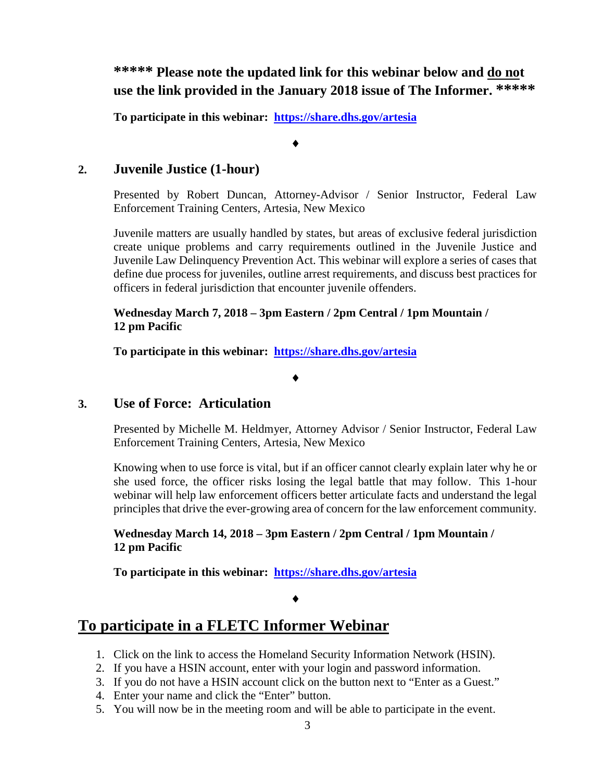**\*\*\*\*\* Please note the updated link for this webinar below and do not use the link provided in the January 2018 issue of The Informer. \*\*\*\*\***

**To participate in this webinar: <https://share.dhs.gov/artesia>**

♦

#### **2. Juvenile Justice (1-hour)**

Presented by Robert Duncan, Attorney-Advisor / Senior Instructor, Federal Law Enforcement Training Centers, Artesia, New Mexico

Juvenile matters are usually handled by states, but areas of exclusive federal jurisdiction create unique problems and carry requirements outlined in the Juvenile Justice and Juvenile Law Delinquency Prevention Act. This webinar will explore a series of cases that define due process for juveniles, outline arrest requirements, and discuss best practices for officers in federal jurisdiction that encounter juvenile offenders.

#### **Wednesday March 7, 2018 – 3pm Eastern / 2pm Central / 1pm Mountain / 12 pm Pacific**

**To participate in this webinar: <https://share.dhs.gov/artesia>**

#### ♦

#### **3. Use of Force: Articulation**

Presented by Michelle M. Heldmyer, Attorney Advisor / Senior Instructor, Federal Law Enforcement Training Centers, Artesia, New Mexico

Knowing when to use force is vital, but if an officer cannot clearly explain later why he or she used force, the officer risks losing the legal battle that may follow. This 1-hour webinar will help law enforcement officers better articulate facts and understand the legal principles that drive the ever-growing area of concern for the law enforcement community.

#### **Wednesday March 14, 2018 – 3pm Eastern / 2pm Central / 1pm Mountain / 12 pm Pacific**

**To participate in this webinar: <https://share.dhs.gov/artesia>**

#### ♦

## **To participate in a FLETC Informer Webinar**

- 1. Click on the link to access the Homeland Security Information Network (HSIN).
- 2. If you have a HSIN account, enter with your login and password information.
- 3. If you do not have a HSIN account click on the button next to "Enter as a Guest."
- 4. Enter your name and click the "Enter" button.
- 5. You will now be in the meeting room and will be able to participate in the event.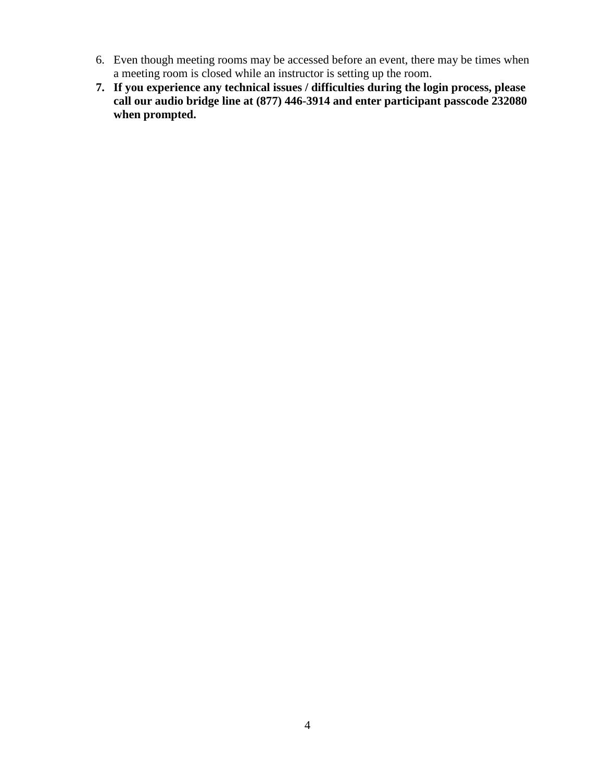- 6. Even though meeting rooms may be accessed before an event, there may be times when a meeting room is closed while an instructor is setting up the room.
- **7. If you experience any technical issues / difficulties during the login process, please call our audio bridge line at (877) 446-3914 and enter participant passcode 232080 when prompted.**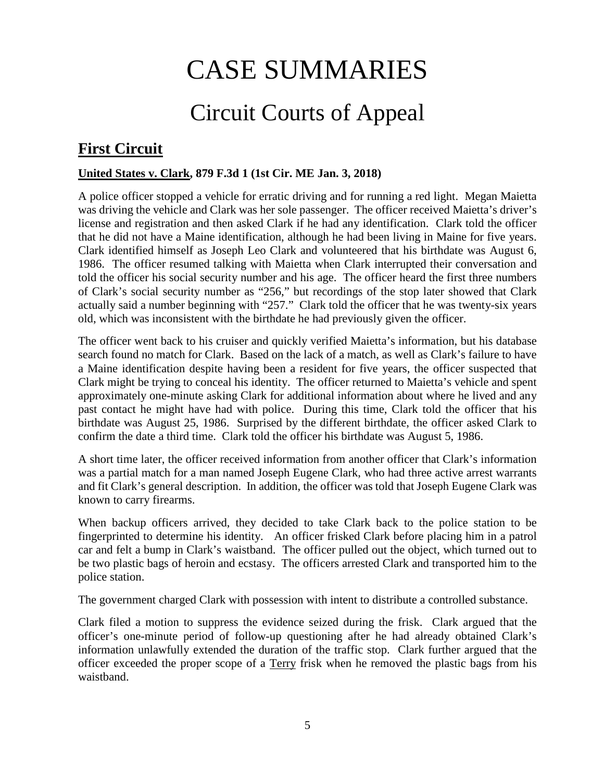# CASE SUMMARIES

# Circuit Courts of Appeal

# <span id="page-4-1"></span><span id="page-4-0"></span>**First Circuit**

#### <span id="page-4-2"></span>**United States v. Clark, 879 F.3d 1 (1st Cir. ME Jan. 3, 2018)**

A police officer stopped a vehicle for erratic driving and for running a red light. Megan Maietta was driving the vehicle and Clark was her sole passenger. The officer received Maietta's driver's license and registration and then asked Clark if he had any identification. Clark told the officer that he did not have a Maine identification, although he had been living in Maine for five years. Clark identified himself as Joseph Leo Clark and volunteered that his birthdate was August 6, 1986. The officer resumed talking with Maietta when Clark interrupted their conversation and told the officer his social security number and his age. The officer heard the first three numbers of Clark's social security number as "256," but recordings of the stop later showed that Clark actually said a number beginning with "257." Clark told the officer that he was twenty-six years old, which was inconsistent with the birthdate he had previously given the officer.

The officer went back to his cruiser and quickly verified Maietta's information, but his database search found no match for Clark. Based on the lack of a match, as well as Clark's failure to have a Maine identification despite having been a resident for five years, the officer suspected that Clark might be trying to conceal his identity. The officer returned to Maietta's vehicle and spent approximately one-minute asking Clark for additional information about where he lived and any past contact he might have had with police. During this time, Clark told the officer that his birthdate was August 25, 1986. Surprised by the different birthdate, the officer asked Clark to confirm the date a third time. Clark told the officer his birthdate was August 5, 1986.

A short time later, the officer received information from another officer that Clark's information was a partial match for a man named Joseph Eugene Clark, who had three active arrest warrants and fit Clark's general description. In addition, the officer was told that Joseph Eugene Clark was known to carry firearms.

When backup officers arrived, they decided to take Clark back to the police station to be fingerprinted to determine his identity. An officer frisked Clark before placing him in a patrol car and felt a bump in Clark's waistband. The officer pulled out the object, which turned out to be two plastic bags of heroin and ecstasy. The officers arrested Clark and transported him to the police station.

The government charged Clark with possession with intent to distribute a controlled substance.

Clark filed a motion to suppress the evidence seized during the frisk. Clark argued that the officer's one-minute period of follow-up questioning after he had already obtained Clark's information unlawfully extended the duration of the traffic stop. Clark further argued that the officer exceeded the proper scope of a Terry frisk when he removed the plastic bags from his waistband.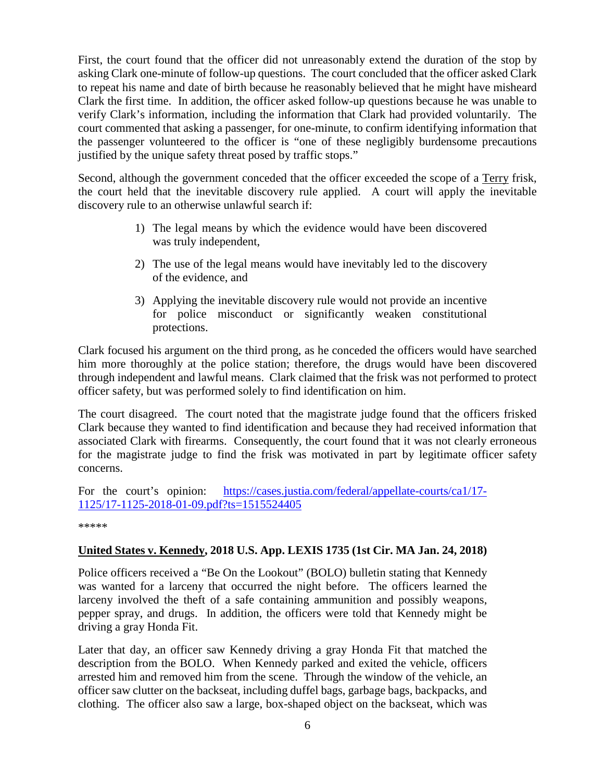First, the court found that the officer did not unreasonably extend the duration of the stop by asking Clark one-minute of follow-up questions. The court concluded that the officer asked Clark to repeat his name and date of birth because he reasonably believed that he might have misheard Clark the first time. In addition, the officer asked follow-up questions because he was unable to verify Clark's information, including the information that Clark had provided voluntarily. The court commented that asking a passenger, for one-minute, to confirm identifying information that the passenger volunteered to the officer is "one of these negligibly burdensome precautions justified by the unique safety threat posed by traffic stops."

Second, although the government conceded that the officer exceeded the scope of a Terry frisk, the court held that the inevitable discovery rule applied. A court will apply the inevitable discovery rule to an otherwise unlawful search if:

- 1) The legal means by which the evidence would have been discovered was truly independent,
- 2) The use of the legal means would have inevitably led to the discovery of the evidence, and
- 3) Applying the inevitable discovery rule would not provide an incentive for police misconduct or significantly weaken constitutional protections.

Clark focused his argument on the third prong, as he conceded the officers would have searched him more thoroughly at the police station; therefore, the drugs would have been discovered through independent and lawful means. Clark claimed that the frisk was not performed to protect officer safety, but was performed solely to find identification on him.

The court disagreed. The court noted that the magistrate judge found that the officers frisked Clark because they wanted to find identification and because they had received information that associated Clark with firearms. Consequently, the court found that it was not clearly erroneous for the magistrate judge to find the frisk was motivated in part by legitimate officer safety concerns.

For the court's opinion: [https://cases.justia.com/federal/appellate-courts/ca1/17-](https://cases.justia.com/federal/appellate-courts/ca1/17-1125/17-1125-2018-01-09.pdf?ts=1515524405) [1125/17-1125-2018-01-09.pdf?ts=1515524405](https://cases.justia.com/federal/appellate-courts/ca1/17-1125/17-1125-2018-01-09.pdf?ts=1515524405)

\*\*\*\*\*

#### <span id="page-5-0"></span>**United States v. Kennedy, 2018 U.S. App. LEXIS 1735 (1st Cir. MA Jan. 24, 2018)**

Police officers received a "Be On the Lookout" (BOLO) bulletin stating that Kennedy was wanted for a larceny that occurred the night before. The officers learned the larceny involved the theft of a safe containing ammunition and possibly weapons, pepper spray, and drugs. In addition, the officers were told that Kennedy might be driving a gray Honda Fit.

Later that day, an officer saw Kennedy driving a gray Honda Fit that matched the description from the BOLO. When Kennedy parked and exited the vehicle, officers arrested him and removed him from the scene. Through the window of the vehicle, an officer saw clutter on the backseat, including duffel bags, garbage bags, backpacks, and clothing. The officer also saw a large, box-shaped object on the backseat, which was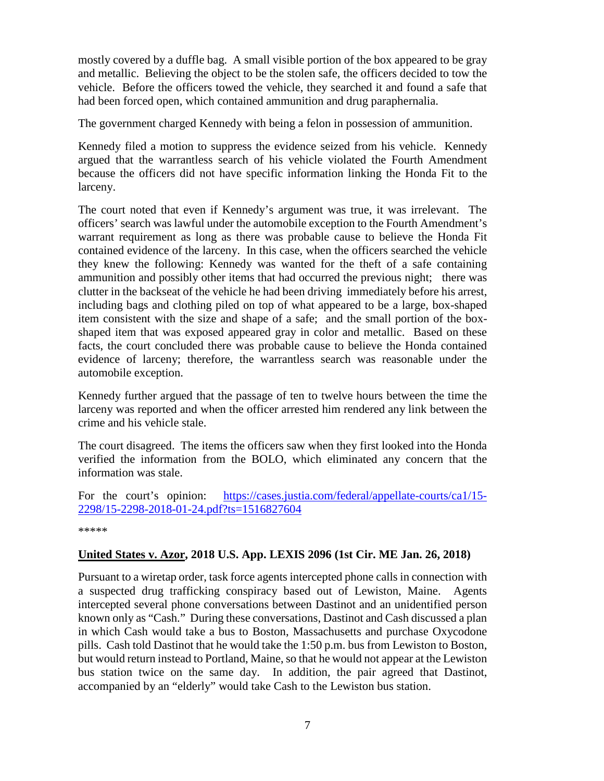mostly covered by a duffle bag. A small visible portion of the box appeared to be gray and metallic. Believing the object to be the stolen safe, the officers decided to tow the vehicle. Before the officers towed the vehicle, they searched it and found a safe that had been forced open, which contained ammunition and drug paraphernalia.

The government charged Kennedy with being a felon in possession of ammunition.

Kennedy filed a motion to suppress the evidence seized from his vehicle. Kennedy argued that the warrantless search of his vehicle violated the Fourth Amendment because the officers did not have specific information linking the Honda Fit to the larceny.

The court noted that even if Kennedy's argument was true, it was irrelevant. The officers' search was lawful under the automobile exception to the Fourth Amendment's warrant requirement as long as there was probable cause to believe the Honda Fit contained evidence of the larceny. In this case, when the officers searched the vehicle they knew the following: Kennedy was wanted for the theft of a safe containing ammunition and possibly other items that had occurred the previous night; there was clutter in the backseat of the vehicle he had been driving immediately before his arrest, including bags and clothing piled on top of what appeared to be a large, box-shaped item consistent with the size and shape of a safe; and the small portion of the boxshaped item that was exposed appeared gray in color and metallic. Based on these facts, the court concluded there was probable cause to believe the Honda contained evidence of larceny; therefore, the warrantless search was reasonable under the automobile exception.

Kennedy further argued that the passage of ten to twelve hours between the time the larceny was reported and when the officer arrested him rendered any link between the crime and his vehicle stale.

The court disagreed. The items the officers saw when they first looked into the Honda verified the information from the BOLO, which eliminated any concern that the information was stale.

For the court's opinion: [https://cases.justia.com/federal/appellate-courts/ca1/15-](https://cases.justia.com/federal/appellate-courts/ca1/15-2298/15-2298-2018-01-24.pdf?ts=1516827604) [2298/15-2298-2018-01-24.pdf?ts=1516827604](https://cases.justia.com/federal/appellate-courts/ca1/15-2298/15-2298-2018-01-24.pdf?ts=1516827604)

\*\*\*\*\*

#### <span id="page-6-0"></span>**United States v. Azor, 2018 U.S. App. LEXIS 2096 (1st Cir. ME Jan. 26, 2018)**

Pursuant to a wiretap order, task force agents intercepted phone calls in connection with a suspected drug trafficking conspiracy based out of Lewiston, Maine. Agents intercepted several phone conversations between Dastinot and an unidentified person known only as "Cash." During these conversations, Dastinot and Cash discussed a plan in which Cash would take a bus to Boston, Massachusetts and purchase Oxycodone pills. Cash told Dastinot that he would take the 1:50 p.m. bus from Lewiston to Boston, but would return instead to Portland, Maine, so that he would not appear at the Lewiston bus station twice on the same day. In addition, the pair agreed that Dastinot, accompanied by an "elderly" would take Cash to the Lewiston bus station.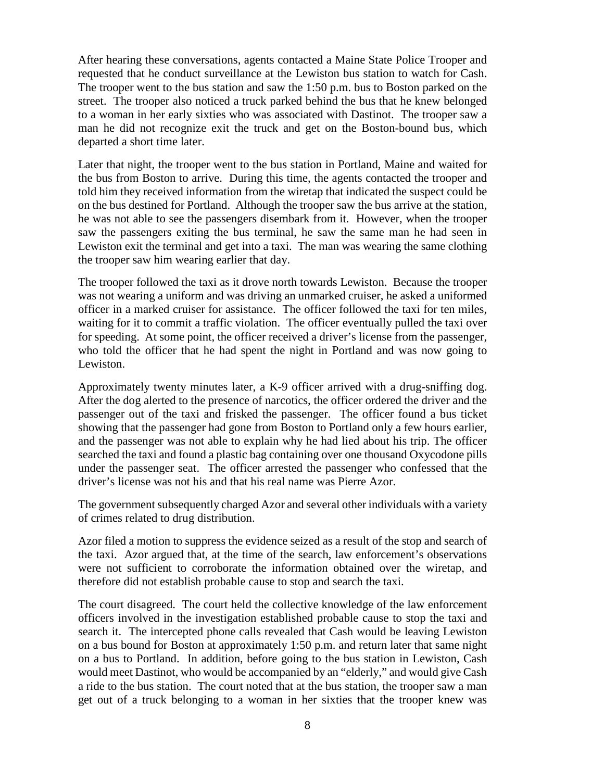After hearing these conversations, agents contacted a Maine State Police Trooper and requested that he conduct surveillance at the Lewiston bus station to watch for Cash. The trooper went to the bus station and saw the 1:50 p.m. bus to Boston parked on the street. The trooper also noticed a truck parked behind the bus that he knew belonged to a woman in her early sixties who was associated with Dastinot. The trooper saw a man he did not recognize exit the truck and get on the Boston-bound bus, which departed a short time later.

Later that night, the trooper went to the bus station in Portland, Maine and waited for the bus from Boston to arrive. During this time, the agents contacted the trooper and told him they received information from the wiretap that indicated the suspect could be on the bus destined for Portland. Although the trooper saw the bus arrive at the station, he was not able to see the passengers disembark from it. However, when the trooper saw the passengers exiting the bus terminal, he saw the same man he had seen in Lewiston exit the terminal and get into a taxi. The man was wearing the same clothing the trooper saw him wearing earlier that day.

The trooper followed the taxi as it drove north towards Lewiston. Because the trooper was not wearing a uniform and was driving an unmarked cruiser, he asked a uniformed officer in a marked cruiser for assistance. The officer followed the taxi for ten miles, waiting for it to commit a traffic violation. The officer eventually pulled the taxi over for speeding. At some point, the officer received a driver's license from the passenger, who told the officer that he had spent the night in Portland and was now going to Lewiston.

Approximately twenty minutes later, a K-9 officer arrived with a drug-sniffing dog. After the dog alerted to the presence of narcotics, the officer ordered the driver and the passenger out of the taxi and frisked the passenger. The officer found a bus ticket showing that the passenger had gone from Boston to Portland only a few hours earlier, and the passenger was not able to explain why he had lied about his trip. The officer searched the taxi and found a plastic bag containing over one thousand Oxycodone pills under the passenger seat. The officer arrested the passenger who confessed that the driver's license was not his and that his real name was Pierre Azor.

The government subsequently charged Azor and several other individuals with a variety of crimes related to drug distribution.

Azor filed a motion to suppress the evidence seized as a result of the stop and search of the taxi. Azor argued that, at the time of the search, law enforcement's observations were not sufficient to corroborate the information obtained over the wiretap, and therefore did not establish probable cause to stop and search the taxi.

The court disagreed. The court held the collective knowledge of the law enforcement officers involved in the investigation established probable cause to stop the taxi and search it. The intercepted phone calls revealed that Cash would be leaving Lewiston on a bus bound for Boston at approximately 1:50 p.m. and return later that same night on a bus to Portland. In addition, before going to the bus station in Lewiston, Cash would meet Dastinot, who would be accompanied by an "elderly," and would give Cash a ride to the bus station. The court noted that at the bus station, the trooper saw a man get out of a truck belonging to a woman in her sixties that the trooper knew was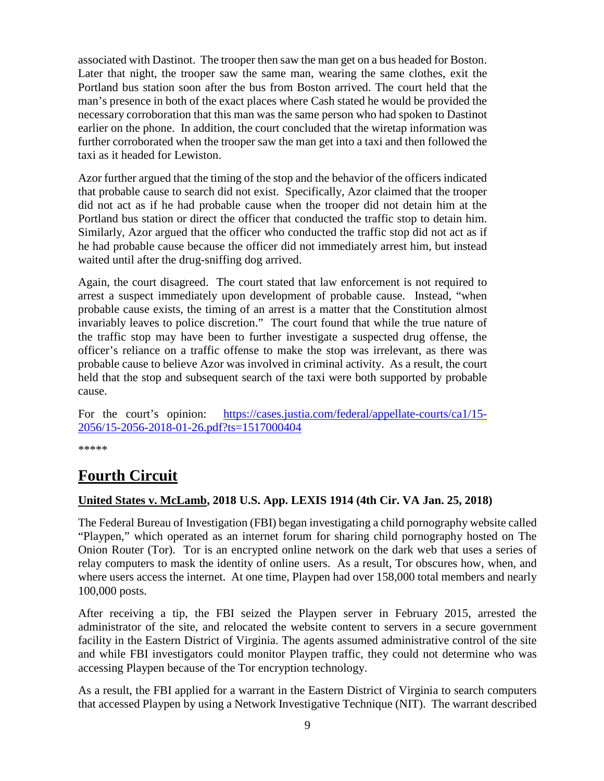associated with Dastinot. The trooper then saw the man get on a bus headed for Boston. Later that night, the trooper saw the same man, wearing the same clothes, exit the Portland bus station soon after the bus from Boston arrived. The court held that the man's presence in both of the exact places where Cash stated he would be provided the necessary corroboration that this man was the same person who had spoken to Dastinot earlier on the phone. In addition, the court concluded that the wiretap information was further corroborated when the trooper saw the man get into a taxi and then followed the taxi as it headed for Lewiston.

Azor further argued that the timing of the stop and the behavior of the officers indicated that probable cause to search did not exist. Specifically, Azor claimed that the trooper did not act as if he had probable cause when the trooper did not detain him at the Portland bus station or direct the officer that conducted the traffic stop to detain him. Similarly, Azor argued that the officer who conducted the traffic stop did not act as if he had probable cause because the officer did not immediately arrest him, but instead waited until after the drug-sniffing dog arrived.

Again, the court disagreed. The court stated that law enforcement is not required to arrest a suspect immediately upon development of probable cause. Instead, "when probable cause exists, the timing of an arrest is a matter that the Constitution almost invariably leaves to police discretion." The court found that while the true nature of the traffic stop may have been to further investigate a suspected drug offense, the officer's reliance on a traffic offense to make the stop was irrelevant, as there was probable cause to believe Azor was involved in criminal activity. As a result, the court held that the stop and subsequent search of the taxi were both supported by probable cause.

For the court's opinion: [https://cases.justia.com/federal/appellate-courts/ca1/15-](https://cases.justia.com/federal/appellate-courts/ca1/15-2056/15-2056-2018-01-26.pdf?ts=1517000404) [2056/15-2056-2018-01-26.pdf?ts=1517000404](https://cases.justia.com/federal/appellate-courts/ca1/15-2056/15-2056-2018-01-26.pdf?ts=1517000404)

\*\*\*\*\*

# <span id="page-8-0"></span>**Fourth Circuit**

#### <span id="page-8-1"></span>**United States v. McLamb, 2018 U.S. App. LEXIS 1914 (4th Cir. VA Jan. 25, 2018)**

The Federal Bureau of Investigation (FBI) began investigating a child pornography website called "Playpen," which operated as an internet forum for sharing child pornography hosted on The Onion Router (Tor). Tor is an encrypted online network on the dark web that uses a series of relay computers to mask the identity of online users. As a result, Tor obscures how, when, and where users access the internet. At one time, Playpen had over 158,000 total members and nearly 100,000 posts.

After receiving a tip, the FBI seized the Playpen server in February 2015, arrested the administrator of the site, and relocated the website content to servers in a secure government facility in the Eastern District of Virginia. The agents assumed administrative control of the site and while FBI investigators could monitor Playpen traffic, they could not determine who was accessing Playpen because of the Tor encryption technology.

As a result, the FBI applied for a warrant in the Eastern District of Virginia to search computers that accessed Playpen by using a Network Investigative Technique (NIT). The warrant described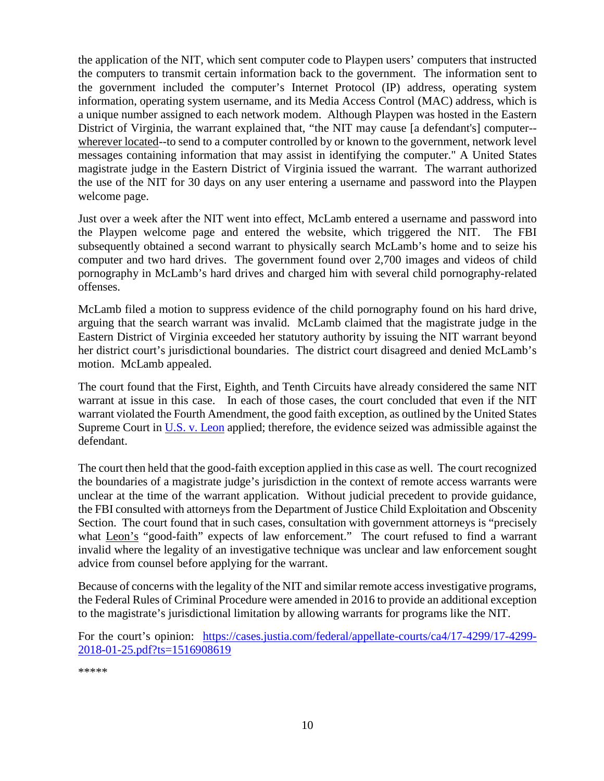the application of the NIT, which sent computer code to Playpen users' computers that instructed the computers to transmit certain information back to the government. The information sent to the government included the computer's Internet Protocol (IP) address, operating system information, operating system username, and its Media Access Control (MAC) address, which is a unique number assigned to each network modem. Although Playpen was hosted in the Eastern District of Virginia, the warrant explained that, "the NIT may cause [a defendant's] computer- wherever located--to send to a computer controlled by or known to the government, network level messages containing information that may assist in identifying the computer." A United States magistrate judge in the Eastern District of Virginia issued the warrant. The warrant authorized the use of the NIT for 30 days on any user entering a username and password into the Playpen welcome page.

Just over a week after the NIT went into effect, McLamb entered a username and password into the Playpen welcome page and entered the website, which triggered the NIT. The FBI subsequently obtained a second warrant to physically search McLamb's home and to seize his computer and two hard drives. The government found over 2,700 images and videos of child pornography in McLamb's hard drives and charged him with several child pornography-related offenses.

McLamb filed a motion to suppress evidence of the child pornography found on his hard drive, arguing that the search warrant was invalid. McLamb claimed that the magistrate judge in the Eastern District of Virginia exceeded her statutory authority by issuing the NIT warrant beyond her district court's jurisdictional boundaries. The district court disagreed and denied McLamb's motion. McLamb appealed.

The court found that the First, Eighth, and Tenth Circuits have already considered the same NIT warrant at issue in this case. In each of those cases, the court concluded that even if the NIT warrant violated the Fourth Amendment, the good faith exception, as outlined by the United States Supreme Court in [U.S. v. Leon](https://supreme.justia.com/cases/federal/us/468/897/) applied; therefore, the evidence seized was admissible against the defendant.

The court then held that the good-faith exception applied in this case as well. The court recognized the boundaries of a magistrate judge's jurisdiction in the context of remote access warrants were unclear at the time of the warrant application. Without judicial precedent to provide guidance, the FBI consulted with attorneys from the Department of Justice Child Exploitation and Obscenity Section. The court found that in such cases, consultation with government attorneys is "precisely what Leon's "good-faith" expects of law enforcement." The court refused to find a warrant invalid where the legality of an investigative technique was unclear and law enforcement sought advice from counsel before applying for the warrant.

Because of concerns with the legality of the NIT and similar remote access investigative programs, the Federal Rules of Criminal Procedure were amended in 2016 to provide an additional exception to the magistrate's jurisdictional limitation by allowing warrants for programs like the NIT.

For the court's opinion: [https://cases.justia.com/federal/appellate-courts/ca4/17-4299/17-4299-](https://cases.justia.com/federal/appellate-courts/ca4/17-4299/17-4299-2018-01-25.pdf?ts=1516908619) [2018-01-25.pdf?ts=1516908619](https://cases.justia.com/federal/appellate-courts/ca4/17-4299/17-4299-2018-01-25.pdf?ts=1516908619)

\*\*\*\*\*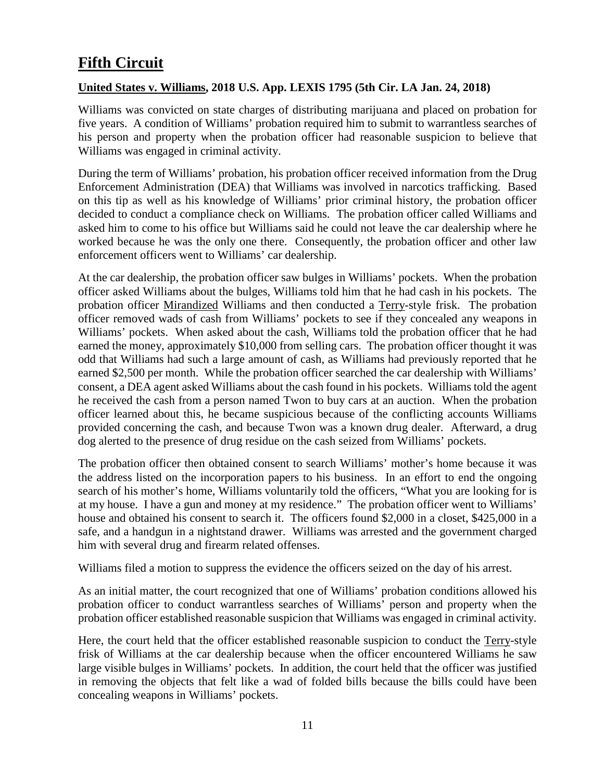# <span id="page-10-0"></span>**Fifth Circuit**

#### <span id="page-10-1"></span>**United States v. Williams, 2018 U.S. App. LEXIS 1795 (5th Cir. LA Jan. 24, 2018)**

Williams was convicted on state charges of distributing marijuana and placed on probation for five years. A condition of Williams' probation required him to submit to warrantless searches of his person and property when the probation officer had reasonable suspicion to believe that Williams was engaged in criminal activity.

During the term of Williams' probation, his probation officer received information from the Drug Enforcement Administration (DEA) that Williams was involved in narcotics trafficking. Based on this tip as well as his knowledge of Williams' prior criminal history, the probation officer decided to conduct a compliance check on Williams. The probation officer called Williams and asked him to come to his office but Williams said he could not leave the car dealership where he worked because he was the only one there. Consequently, the probation officer and other law enforcement officers went to Williams' car dealership.

At the car dealership, the probation officer saw bulges in Williams' pockets. When the probation officer asked Williams about the bulges, Williams told him that he had cash in his pockets. The probation officer Mirandized Williams and then conducted a Terry-style frisk. The probation officer removed wads of cash from Williams' pockets to see if they concealed any weapons in Williams' pockets. When asked about the cash, Williams told the probation officer that he had earned the money, approximately \$10,000 from selling cars. The probation officer thought it was odd that Williams had such a large amount of cash, as Williams had previously reported that he earned \$2,500 per month. While the probation officer searched the car dealership with Williams' consent, a DEA agent asked Williams about the cash found in his pockets. Williams told the agent he received the cash from a person named Twon to buy cars at an auction. When the probation officer learned about this, he became suspicious because of the conflicting accounts Williams provided concerning the cash, and because Twon was a known drug dealer. Afterward, a drug dog alerted to the presence of drug residue on the cash seized from Williams' pockets.

The probation officer then obtained consent to search Williams' mother's home because it was the address listed on the incorporation papers to his business. In an effort to end the ongoing search of his mother's home, Williams voluntarily told the officers, "What you are looking for is at my house. I have a gun and money at my residence." The probation officer went to Williams' house and obtained his consent to search it. The officers found \$2,000 in a closet, \$425,000 in a safe, and a handgun in a nightstand drawer. Williams was arrested and the government charged him with several drug and firearm related offenses.

Williams filed a motion to suppress the evidence the officers seized on the day of his arrest.

As an initial matter, the court recognized that one of Williams' probation conditions allowed his probation officer to conduct warrantless searches of Williams' person and property when the probation officer established reasonable suspicion that Williams was engaged in criminal activity.

Here, the court held that the officer established reasonable suspicion to conduct the Terry-style frisk of Williams at the car dealership because when the officer encountered Williams he saw large visible bulges in Williams' pockets. In addition, the court held that the officer was justified in removing the objects that felt like a wad of folded bills because the bills could have been concealing weapons in Williams' pockets.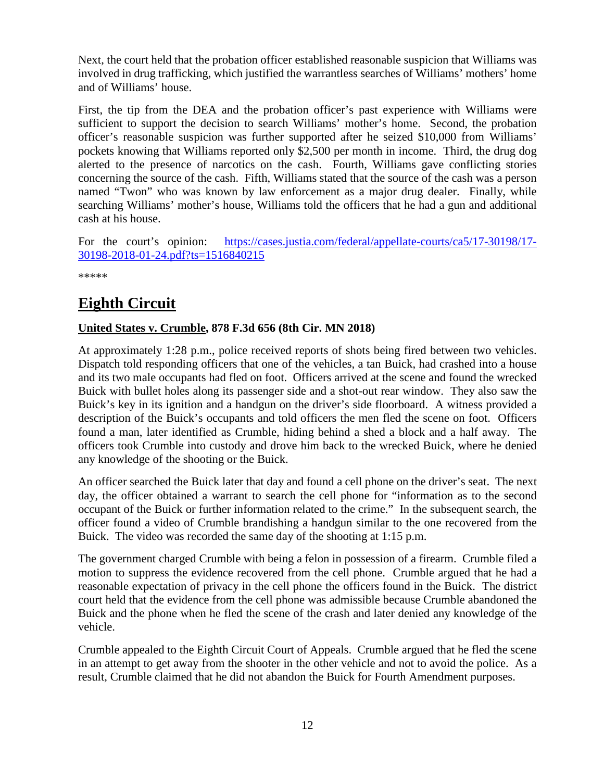Next, the court held that the probation officer established reasonable suspicion that Williams was involved in drug trafficking, which justified the warrantless searches of Williams' mothers' home and of Williams' house.

First, the tip from the DEA and the probation officer's past experience with Williams were sufficient to support the decision to search Williams' mother's home. Second, the probation officer's reasonable suspicion was further supported after he seized \$10,000 from Williams' pockets knowing that Williams reported only \$2,500 per month in income. Third, the drug dog alerted to the presence of narcotics on the cash. Fourth, Williams gave conflicting stories concerning the source of the cash. Fifth, Williams stated that the source of the cash was a person named "Twon" who was known by law enforcement as a major drug dealer. Finally, while searching Williams' mother's house, Williams told the officers that he had a gun and additional cash at his house.

For the court's opinion: [https://cases.justia.com/federal/appellate-courts/ca5/17-30198/17-](https://cases.justia.com/federal/appellate-courts/ca5/17-30198/17-30198-2018-01-24.pdf?ts=1516840215) [30198-2018-01-24.pdf?ts=1516840215](https://cases.justia.com/federal/appellate-courts/ca5/17-30198/17-30198-2018-01-24.pdf?ts=1516840215)

\*\*\*\*\*

# <span id="page-11-0"></span>**Eighth Circuit**

#### <span id="page-11-1"></span>**United States v. Crumble, 878 F.3d 656 (8th Cir. MN 2018)**

At approximately 1:28 p.m., police received reports of shots being fired between two vehicles. Dispatch told responding officers that one of the vehicles, a tan Buick, had crashed into a house and its two male occupants had fled on foot. Officers arrived at the scene and found the wrecked Buick with bullet holes along its passenger side and a shot-out rear window. They also saw the Buick's key in its ignition and a handgun on the driver's side floorboard. A witness provided a description of the Buick's occupants and told officers the men fled the scene on foot. Officers found a man, later identified as Crumble, hiding behind a shed a block and a half away. The officers took Crumble into custody and drove him back to the wrecked Buick, where he denied any knowledge of the shooting or the Buick.

An officer searched the Buick later that day and found a cell phone on the driver's seat. The next day, the officer obtained a warrant to search the cell phone for "information as to the second occupant of the Buick or further information related to the crime." In the subsequent search, the officer found a video of Crumble brandishing a handgun similar to the one recovered from the Buick. The video was recorded the same day of the shooting at 1:15 p.m.

The government charged Crumble with being a felon in possession of a firearm. Crumble filed a motion to suppress the evidence recovered from the cell phone. Crumble argued that he had a reasonable expectation of privacy in the cell phone the officers found in the Buick. The district court held that the evidence from the cell phone was admissible because Crumble abandoned the Buick and the phone when he fled the scene of the crash and later denied any knowledge of the vehicle.

Crumble appealed to the Eighth Circuit Court of Appeals. Crumble argued that he fled the scene in an attempt to get away from the shooter in the other vehicle and not to avoid the police. As a result, Crumble claimed that he did not abandon the Buick for Fourth Amendment purposes.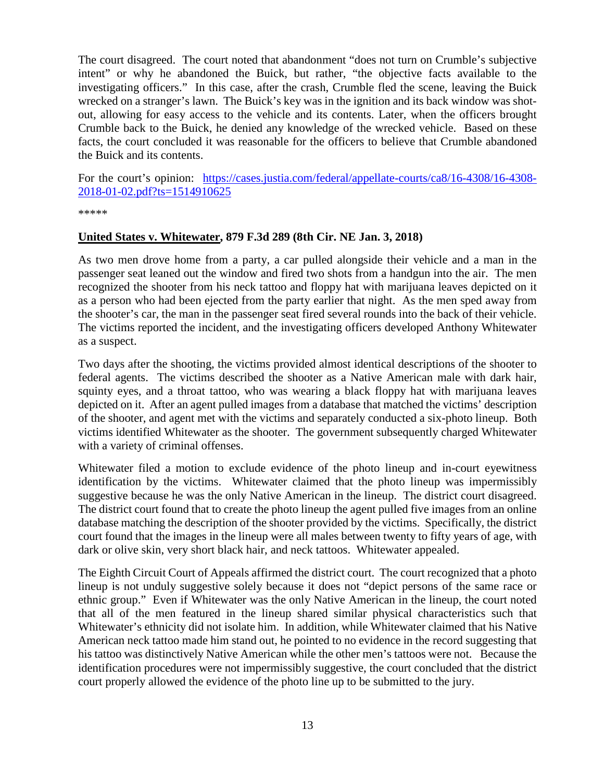The court disagreed. The court noted that abandonment "does not turn on Crumble's subjective intent" or why he abandoned the Buick, but rather, "the objective facts available to the investigating officers." In this case, after the crash, Crumble fled the scene, leaving the Buick wrecked on a stranger's lawn. The Buick's key was in the ignition and its back window was shotout, allowing for easy access to the vehicle and its contents. Later, when the officers brought Crumble back to the Buick, he denied any knowledge of the wrecked vehicle. Based on these facts, the court concluded it was reasonable for the officers to believe that Crumble abandoned the Buick and its contents.

For the court's opinion: [https://cases.justia.com/federal/appellate-courts/ca8/16-4308/16-4308-](https://cases.justia.com/federal/appellate-courts/ca8/16-4308/16-4308-2018-01-02.pdf?ts=1514910625) [2018-01-02.pdf?ts=1514910625](https://cases.justia.com/federal/appellate-courts/ca8/16-4308/16-4308-2018-01-02.pdf?ts=1514910625)

\*\*\*\*\*

#### <span id="page-12-0"></span>**United States v. Whitewater, 879 F.3d 289 (8th Cir. NE Jan. 3, 2018)**

As two men drove home from a party, a car pulled alongside their vehicle and a man in the passenger seat leaned out the window and fired two shots from a handgun into the air. The men recognized the shooter from his neck tattoo and floppy hat with marijuana leaves depicted on it as a person who had been ejected from the party earlier that night. As the men sped away from the shooter's car, the man in the passenger seat fired several rounds into the back of their vehicle. The victims reported the incident, and the investigating officers developed Anthony Whitewater as a suspect.

Two days after the shooting, the victims provided almost identical descriptions of the shooter to federal agents. The victims described the shooter as a Native American male with dark hair, squinty eyes, and a throat tattoo, who was wearing a black floppy hat with marijuana leaves depicted on it. After an agent pulled images from a database that matched the victims' description of the shooter, and agent met with the victims and separately conducted a six-photo lineup. Both victims identified Whitewater as the shooter. The government subsequently charged Whitewater with a variety of criminal offenses.

Whitewater filed a motion to exclude evidence of the photo lineup and in-court eyewitness identification by the victims. Whitewater claimed that the photo lineup was impermissibly suggestive because he was the only Native American in the lineup. The district court disagreed. The district court found that to create the photo lineup the agent pulled five images from an online database matching the description of the shooter provided by the victims. Specifically, the district court found that the images in the lineup were all males between twenty to fifty years of age, with dark or olive skin, very short black hair, and neck tattoos. Whitewater appealed.

The Eighth Circuit Court of Appeals affirmed the district court. The court recognized that a photo lineup is not unduly suggestive solely because it does not "depict persons of the same race or ethnic group." Even if Whitewater was the only Native American in the lineup, the court noted that all of the men featured in the lineup shared similar physical characteristics such that Whitewater's ethnicity did not isolate him. In addition, while Whitewater claimed that his Native American neck tattoo made him stand out, he pointed to no evidence in the record suggesting that his tattoo was distinctively Native American while the other men's tattoos were not. Because the identification procedures were not impermissibly suggestive, the court concluded that the district court properly allowed the evidence of the photo line up to be submitted to the jury.